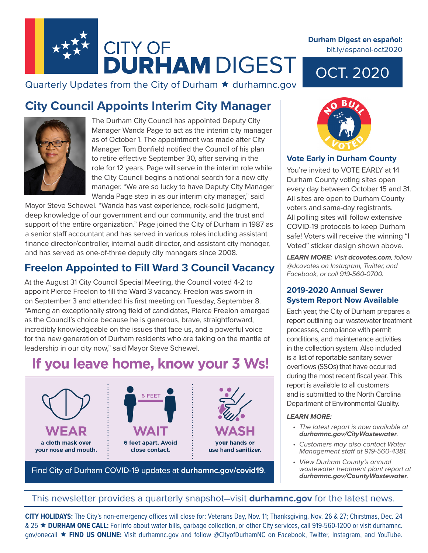

Quarterly Updates from the City of Durham  $\star$  durhamnc.gov

## **City Council Appoints Interim City Manager**



The Durham City Council has appointed Deputy City Manager Wanda Page to act as the interim city manager as of October 1. The appointment was made after City Manager Tom Bonfield notified the Council of his plan to retire effective September 30, after serving in the role for 12 years. Page will serve in the interim role while the City Council begins a national search for a new city manager. "We are so lucky to have Deputy City Manager Wanda Page step in as our interim city manager," said

Mayor Steve Schewel. "Wanda has vast experience, rock-solid judgment, deep knowledge of our government and our community, and the trust and support of the entire organization." Page joined the City of Durham in 1987 as a senior staff accountant and has served in various roles including assistant finance director/controller, internal audit director, and assistant city manager, and has served as one-of-three deputy city managers since 2008.

## **Freelon Appointed to Fill Ward 3 Council Vacancy**

At the August 31 City Council Special Meeting, the Council voted 4-2 to appoint Pierce Freelon to fill the Ward 3 vacancy. Freelon was sworn-in on September 3 and attended his first meeting on Tuesday, September 8. "Among an exceptionally strong field of candidates, Pierce Freelon emerged as the Council's choice because he is generous, brave, straightforward, incredibly knowledgeable on the issues that face us, and a powerful voice for the new generation of Durham residents who are taking on the mantle of leadership in our city now," said Mayor Steve Schewel.

## If you leave home, know your 3 Ws!



Find City of Durham COVID-19 updates at **durhamnc.gov/covid19**.

#### **Durham Digest en español:**  bit.ly/espanol-oct2020

# OCT. 2020



### **Vote Early in Durham County**

You're invited to VOTE EARLY at 14 Durham County voting sites open every day between October 15 and 31. All sites are open to Durham County voters and same-day registrants. All polling sites will follow extensive COVID-19 protocols to keep Durham safe! Voters will receive the winning "I Voted" sticker design shown above.

*LEARN MORE: Visit dcovotes.com, follow @dcovotes on Instagram, Twitter, and Facebook, or call 919-560-0700.*

### **2019-2020 Annual Sewer System Report Now Available**

Each year, the City of Durham prepares a report outlining our wastewater treatment processes, compliance with permit conditions, and maintenance activities in the collection system. Also included is a list of reportable sanitary sewer overflows (SSOs) that have occurred during the most recent fiscal year. This report is available to all customers and is submitted to the North Carolina Department of Environmental Quality.

#### *LEARN MORE:*

- *• The latest report is now available at durhamnc.gov/CityWastewater.*
- *• Customers may also contact Water Management staff at 919-560-4381.*
- *• View Durham County's annual wastewater treatment plant report at durhamnc.gov/CountyWastewater.*

### This newsletter provides a quarterly snapshot—visit **durhamnc.gov** for the latest news.

**CITY HOLIDAYS:** The City's non-emergency offices will close for: Veterans Day, Nov. 11; Thanksgiving, Nov. 26 & 27; Chirstmas, Dec. 24 & 25 **DURHAM ONE CALL:** For info about water bills, garbage collection, or other City services, call 919-560-1200 or visit durhamnc. gov/onecall **FIND US ONLINE:** Visit durhamnc.gov and follow @CityofDurhamNC on Facebook, Twitter, Instagram, and YouTube.